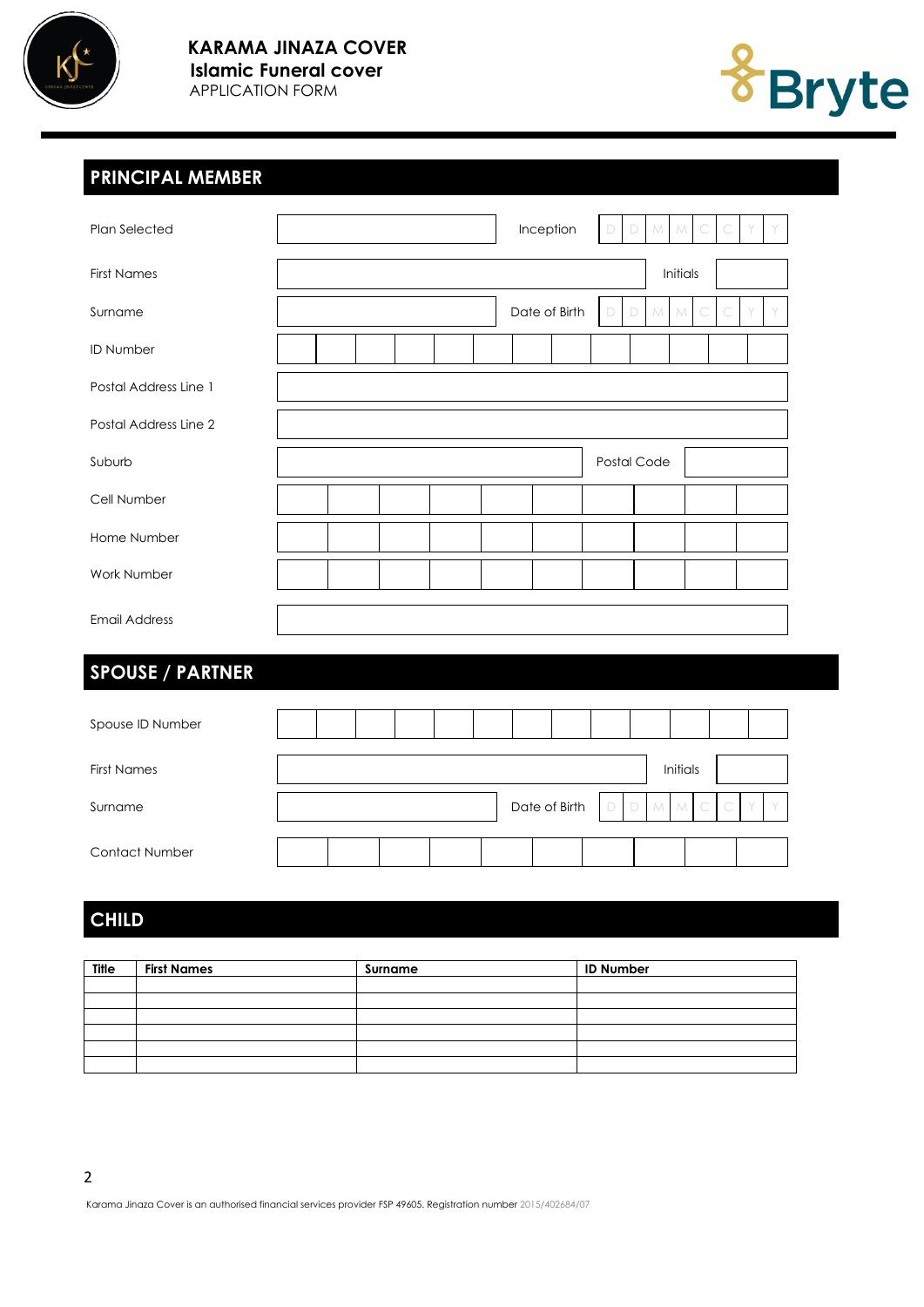



# **PRINCIPAL MEMBER**

| Plan Selected           |          |  |  |  |  |  | Inception |               | D           | D      | M | M        |   |  |  |
|-------------------------|----------|--|--|--|--|--|-----------|---------------|-------------|--------|---|----------|---|--|--|
| <b>First Names</b>      |          |  |  |  |  |  |           |               |             |        |   | Initials |   |  |  |
| Surname                 |          |  |  |  |  |  |           | Date of Birth | D           | D      | M | M        | C |  |  |
| <b>ID Number</b>        |          |  |  |  |  |  |           |               |             |        |   |          |   |  |  |
| Postal Address Line 1   |          |  |  |  |  |  |           |               |             |        |   |          |   |  |  |
| Postal Address Line 2   |          |  |  |  |  |  |           |               |             |        |   |          |   |  |  |
| Suburb                  |          |  |  |  |  |  |           |               | Postal Code |        |   |          |   |  |  |
| Cell Number             |          |  |  |  |  |  |           |               |             |        |   |          |   |  |  |
| Home Number             |          |  |  |  |  |  |           |               |             |        |   |          |   |  |  |
| Work Number             |          |  |  |  |  |  |           |               |             |        |   |          |   |  |  |
| <b>Email Address</b>    |          |  |  |  |  |  |           |               |             |        |   |          |   |  |  |
| <b>SPOUSE / PARTNER</b> |          |  |  |  |  |  |           |               |             |        |   |          |   |  |  |
| Spouse ID Number        |          |  |  |  |  |  |           |               |             |        |   |          |   |  |  |
| <b>First Names</b>      | Initials |  |  |  |  |  |           |               |             |        |   |          |   |  |  |
| Surname                 |          |  |  |  |  |  |           | Date of Birth | D           | $\Box$ | M | M        | C |  |  |
| Contact Number          |          |  |  |  |  |  |           |               |             |        |   |          |   |  |  |

# **CHILD**

| <b>Title</b> | <b>First Names</b> | Surname | <b>ID Number</b> |
|--------------|--------------------|---------|------------------|
|              |                    |         |                  |
|              |                    |         |                  |
|              |                    |         |                  |
|              |                    |         |                  |
|              |                    |         |                  |
|              |                    |         |                  |

Karama Jinaza Cover is an authorised financial services provider FSP 49605. Registration number 2015/402684/07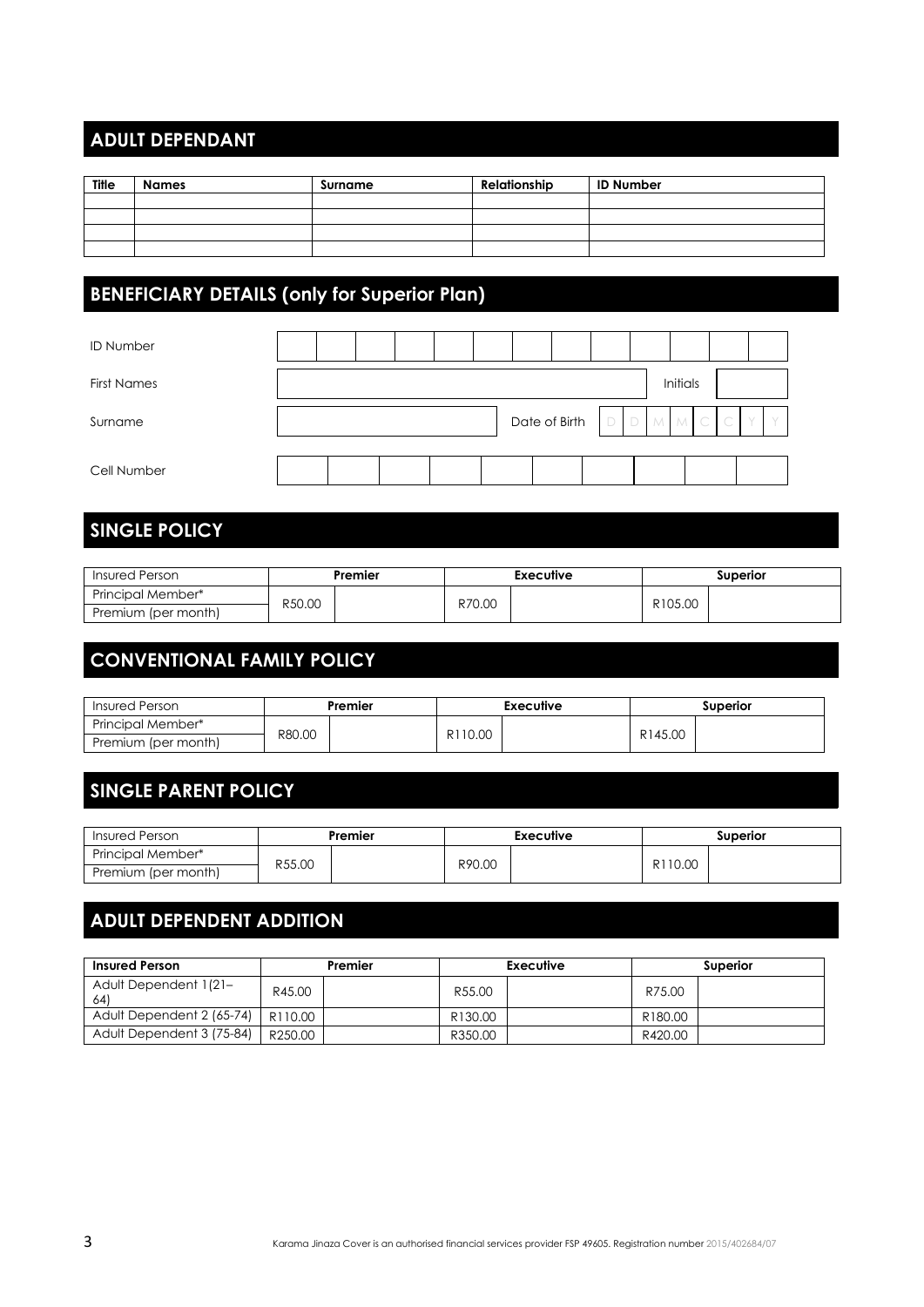# **ADULT DEPENDANT**

| Title | <b>Names</b> | Surname | Relationship | <b>ID Number</b> |
|-------|--------------|---------|--------------|------------------|
|       |              |         |              |                  |
|       |              |         |              |                  |
|       |              |         |              |                  |
|       |              |         |              |                  |

# **BENEFICIARY DETAILS (only for Superior Plan)**

| <b>ID Number</b>   |  |  |  |                             |  |          |  |  |
|--------------------|--|--|--|-----------------------------|--|----------|--|--|
| <b>First Names</b> |  |  |  |                             |  | Initials |  |  |
| Surname            |  |  |  | Date of Birth $D D M M C C$ |  |          |  |  |
| Cell Number        |  |  |  |                             |  |          |  |  |

# **SINGLE POLICY**

| Insured Person      | Premier |  |        | Executive | Superior |  |  |
|---------------------|---------|--|--------|-----------|----------|--|--|
| Principal Member*   |         |  |        |           |          |  |  |
| Premium (per month) | R50.00  |  | R70.00 |           | R105.00  |  |  |

## **CONVENTIONAL FAMILY POLICY**

| <b>Insured Person</b> | Premier |  |         | <b>Executive</b> | Superior |  |  |
|-----------------------|---------|--|---------|------------------|----------|--|--|
| Principal Member*     | R80.00  |  |         |                  |          |  |  |
| Premium (per month)   |         |  | R110.00 |                  | R145.00  |  |  |

### **SINGLE PARENT POLICY**

| Insured Person      | Premier |  |        | <b>Executive</b> | <b>Superior</b> |  |  |
|---------------------|---------|--|--------|------------------|-----------------|--|--|
| Principal Member*   |         |  |        |                  |                 |  |  |
| Premium (per month) | R55.00  |  | R90.00 |                  | R110.00         |  |  |

# **ADULT DEPENDENT ADDITION**

| <b>Insured Person</b>        | Premier |  |         | Executive | <b>Superior</b> |  |  |
|------------------------------|---------|--|---------|-----------|-----------------|--|--|
| Adult Dependent 1(21-<br>64) | R45.00  |  | R55.00  |           | R75.00          |  |  |
| Adult Dependent 2 (65-74)    | R110.00 |  | R130.00 |           | R180.00         |  |  |
| Adult Dependent 3 (75-84)    | R250.00 |  | R350.00 |           | R420.00         |  |  |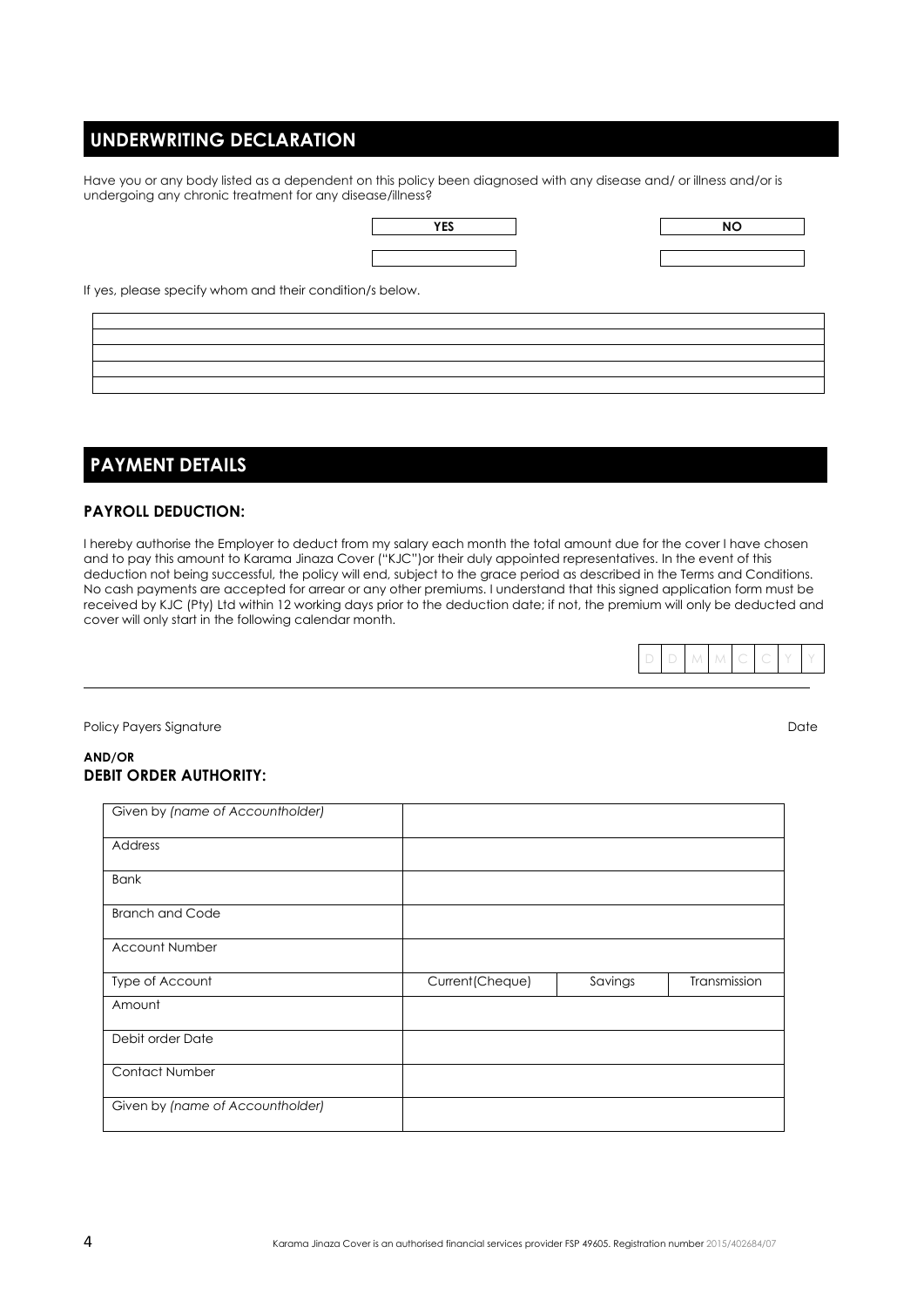### **UNDERWRITING DECLARATION**

Have you or any body listed as a dependent on this policy been diagnosed with any disease and/ or illness and/or is undergoing any chronic treatment for any disease/illness?

| YES |  |
|-----|--|
|     |  |
|     |  |

| <b>YES</b> |  |
|------------|--|
|            |  |

If yes, please specify whom and their condition/s below.

### **PAYMENT DETAILS**

#### **PAYROLL DEDUCTION:**

I hereby authorise the Employer to deduct from my salary each month the total amount due for the cover I have chosen and to pay this amount to Karama Jinaza Cover ("KJC")or their duly appointed representatives. In the event of this deduction not being successful, the policy will end, subject to the grace period as described in the Terms and Conditions. No cash payments are accepted for arrear or any other premiums. I understand that this signed application form must be received by KJC (Pty) Ltd within 12 working days prior to the deduction date; if not, the premium will only be deducted and cover will only start in the following calendar month.



Policy Payers Signature Date Date of the United States of the United States of Date Date Date Date Date of the U

#### **AND/OR DEBIT ORDER AUTHORITY:**

| Given by (name of Accountholder) |                  |         |              |
|----------------------------------|------------------|---------|--------------|
| Address                          |                  |         |              |
| <b>Bank</b>                      |                  |         |              |
| <b>Branch and Code</b>           |                  |         |              |
| <b>Account Number</b>            |                  |         |              |
|                                  |                  |         |              |
| Type of Account                  | Current (Cheque) | Savings | Transmission |
| Amount                           |                  |         |              |
| Debit order Date                 |                  |         |              |
| <b>Contact Number</b>            |                  |         |              |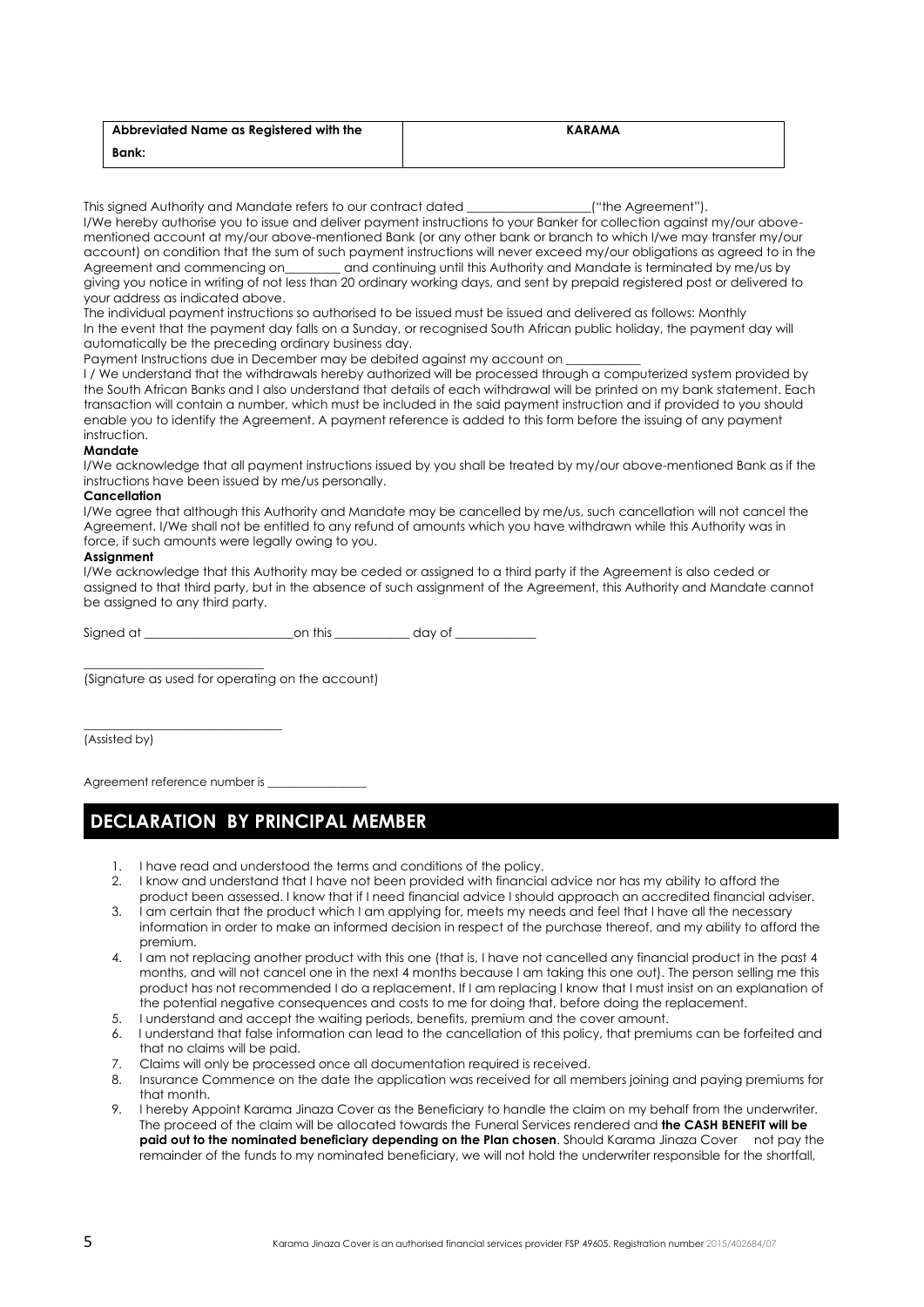| Abbreviated Name as Registered with the | <b>KARAMA</b> |
|-----------------------------------------|---------------|
| <b>Bank:</b>                            |               |

This signed Authority and Mandate refers to our contract dated \_\_\_\_\_\_\_\_\_\_\_\_\_\_\_\_\_\_\_\_("the Agreement").

I/We hereby authorise you to issue and deliver payment instructions to your Banker for collection against my/our abovementioned account at my/our above-mentioned Bank (or any other bank or branch to which I/we may transfer my/our account) on condition that the sum of such payment instructions will never exceed my/our obligations as agreed to in the Agreement and commencing on\_\_\_\_\_\_\_\_ and continuing until this Authority and Mandate is terminated by me/us by giving you notice in writing of not less than 20 ordinary working days, and sent by prepaid registered post or delivered to your address as indicated above.

The individual payment instructions so authorised to be issued must be issued and delivered as follows: Monthly In the event that the payment day falls on a Sunday, or recognised South African public holiday, the payment day will automatically be the preceding ordinary business day.

Payment Instructions due in December may be debited against my account on

I / We understand that the withdrawals hereby authorized will be processed through a computerized system provided by the South African Banks and I also understand that details of each withdrawal will be printed on my bank statement. Each transaction will contain a number, which must be included in the said payment instruction and if provided to you should enable you to identify the Agreement. A payment reference is added to this form before the issuing of any payment instruction.

#### **Mandate**

I/We acknowledge that all payment instructions issued by you shall be treated by my/our above-mentioned Bank as if the instructions have been issued by me/us personally.

#### **Cancellation**

I/We agree that although this Authority and Mandate may be cancelled by me/us, such cancellation will not cancel the Agreement. I/We shall not be entitled to any refund of amounts which you have withdrawn while this Authority was in force, if such amounts were legally owing to you.

#### **Assignment**

I/We acknowledge that this Authority may be ceded or assigned to a third party if the Agreement is also ceded or assigned to that third party, but in the absence of such assignment of the Agreement, this Authority and Mandate cannot be assigned to any third party.

Signed at \_\_\_\_\_\_\_\_\_\_\_\_\_\_\_\_\_\_\_\_\_\_\_\_on this \_\_\_\_\_\_\_\_\_\_\_\_ day of \_\_\_\_\_\_\_\_\_\_\_\_\_

\_\_\_\_\_\_\_\_\_\_\_\_\_\_\_\_\_\_\_\_\_\_\_\_\_\_\_\_\_ (Signature as used for operating on the account)

(Assisted by)

Agreement reference number is \_

\_\_\_\_\_\_\_\_\_\_\_\_\_\_\_\_\_\_\_\_\_\_\_\_\_\_\_\_\_\_\_\_

### **DECLARATION BY PRINCIPAL MEMBER**

- 1. I have read and understood the terms and conditions of the policy.
- 2. I know and understand that I have not been provided with financial advice nor has my ability to afford the product been assessed. I know that if I need financial advice I should approach an accredited financial adviser.
- 3. I am certain that the product which I am applying for, meets my needs and feel that I have all the necessary information in order to make an informed decision in respect of the purchase thereof, and my ability to afford the premium.
- 4. I am not replacing another product with this one (that is, I have not cancelled any financial product in the past 4 months, and will not cancel one in the next 4 months because I am taking this one out). The person selling me this product has not recommended I do a replacement. If I am replacing I know that I must insist on an explanation of the potential negative consequences and costs to me for doing that, before doing the replacement.
- 5. I understand and accept the waiting periods, benefits, premium and the cover amount.
- 6. I understand that false information can lead to the cancellation of this policy, that premiums can be forfeited and that no claims will be paid.
- 7. Claims will only be processed once all documentation required is received.
- 8. Insurance Commence on the date the application was received for all members joining and paying premiums for that month.
- 9. I hereby Appoint Karama Jinaza Cover as the Beneficiary to handle the claim on my behalf from the underwriter. The proceed of the claim will be allocated towards the Funeral Services rendered and **the CASH BENEFIT will be paid out to the nominated beneficiary depending on the Plan chosen**. Should Karama Jinaza Cover not pay the remainder of the funds to my nominated beneficiary, we will not hold the underwriter responsible for the shortfall,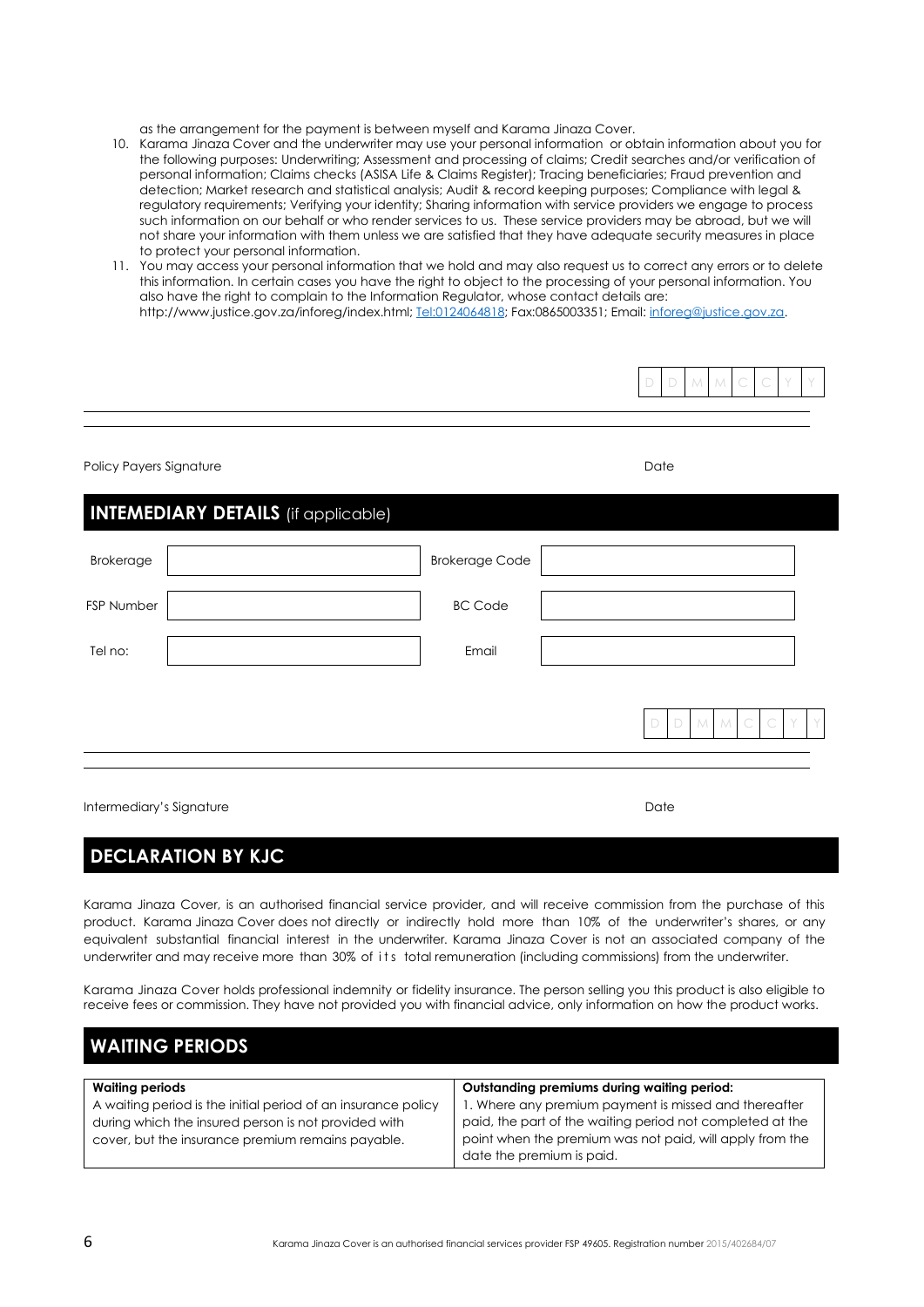as the arrangement for the payment is between myself and Karama Jinaza Cover.

- 10. Karama Jinaza Cover and the underwriter may use your personal information or obtain information about you for the following purposes: Underwriting; Assessment and processing of claims; Credit searches and/or verification of personal information; Claims checks (ASISA Life & Claims Register); Tracing beneficiaries; Fraud prevention and detection; Market research and statistical analysis; Audit & record keeping purposes; Compliance with legal & regulatory requirements; Verifying your identity; Sharing information with service providers we engage to process such information on our behalf or who render services to us. These service providers may be abroad, but we will not share your information with them unless we are satisfied that they have adequate security measures in place to protect your personal information.
- 11. You may access your personal information that we hold and may also request us to correct any errors or to delete this information. In certain cases you have the right to object to the processing of your personal information. You also have the right to complain to the Information Regulator, whose contact details are: http://www.justice.gov.za/inforeg/index.html[; Tel:0124064818;](tel:0124064818) Fax:0865003351; Email[: inforeg@justice.gov.za.](mailto:inforeg@justice.gov.za)



Policy Payers Signature Date

### **INTEMEDIARY DETAILS** (if applicable)

| <b>Brokerage</b> | <b>Brokerage Code</b> |        |      |           |   |  |
|------------------|-----------------------|--------|------|-----------|---|--|
| FSP Number       | <b>BC Code</b>        |        |      |           |   |  |
| Tel no:          | Email                 |        |      |           |   |  |
|                  |                       | $\Box$ | DMMC | $\subset$ | Y |  |
|                  |                       |        |      |           |   |  |

Intermediary's Signature **Date of the Contract of Contract Contract Oriental Contract Contract Oriental Contract Contract Oriental Contract Oriental Contract Oriental Contract Oriental Contract Oriental Contract Oriental C** 

### **DECLARATION BY KJC**

**WAITING PERIODS**

Karama Jinaza Cover, is an authorised financial service provider, and will receive commission from the purchase of this product. Karama Jinaza Cover does not directly or indirectly hold more than 10% of the underwriter's shares, or any equivalent substantial financial interest in the underwriter. Karama Jinaza Cover is not an associated company of the underwriter and may receive more than 30% of its total remuneration (including commissions) from the underwriter.

Karama Jinaza Cover holds professional indemnity or fidelity insurance. The person selling you this product is also eligible to receive fees or commission. They have not provided you with financial advice, only information on how the product works.

| I WAIIING FERIODS                                                                                                                                                          |                                                                                                                                                                                                             |  |  |  |  |  |
|----------------------------------------------------------------------------------------------------------------------------------------------------------------------------|-------------------------------------------------------------------------------------------------------------------------------------------------------------------------------------------------------------|--|--|--|--|--|
| <b>Waiting periods</b>                                                                                                                                                     | Outstanding premiums during waiting period:                                                                                                                                                                 |  |  |  |  |  |
| A waiting period is the initial period of an insurance policy<br>during which the insured person is not provided with<br>cover, but the insurance premium remains payable. | 1. Where any premium payment is missed and thereafter<br>paid, the part of the waiting period not completed at the<br>point when the premium was not paid, will apply from the<br>date the premium is paid. |  |  |  |  |  |